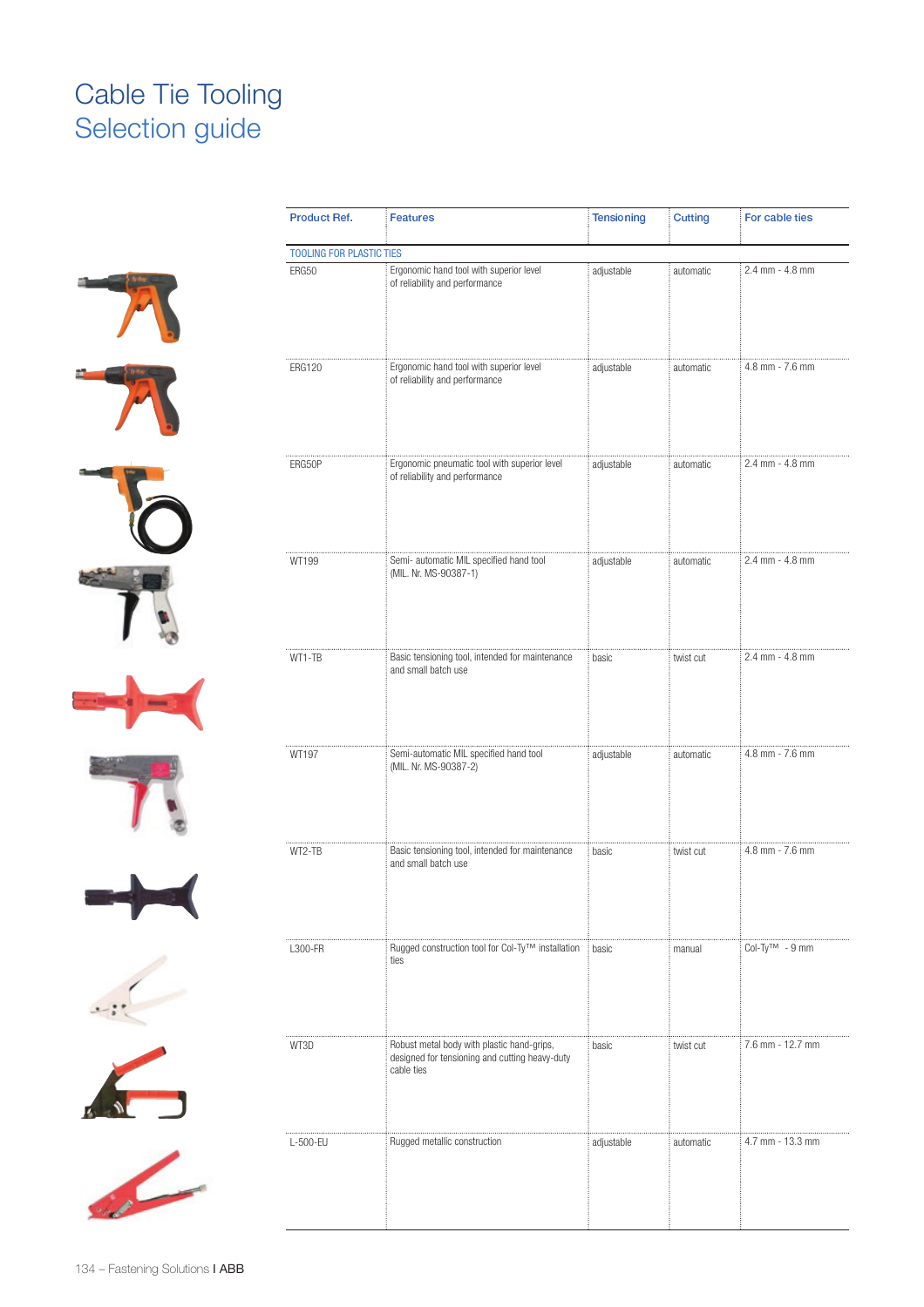# Cable Tie Tooling Selection guide







| Product Ref.                    | <b>Features</b>                                                                                            | Tensioning | <b>Cutting</b> | For cable ties       |
|---------------------------------|------------------------------------------------------------------------------------------------------------|------------|----------------|----------------------|
| <b>TOOLING FOR PLASTIC TIES</b> |                                                                                                            |            |                |                      |
| ERG50                           | Ergonomic hand tool with superior level<br>of reliability and performance                                  | adjustable | automatic      | 2.4 mm - 4.8 mm      |
| <b>ERG120</b>                   | Ergonomic hand tool with superior level<br>of reliability and performance                                  | adjustable | automatic      | 4.8 mm - 7.6 mm      |
| ERG50P                          | Ergonomic pneumatic tool with superior level<br>of reliability and performance                             | adjustable | automatic      | 2.4 mm - 4.8 mm      |
| WT199                           | Semi- automatic MIL specified hand tool<br>(MIL. Nr. MS-90387-1)                                           | adjustable | automatic      | 2.4 mm - 4.8 mm      |
| WT1-TB                          | Basic tensioning tool, intended for maintenance<br>and small batch use                                     | basic      | twist cut      | 2.4 mm - 4.8 mm      |
| WT197                           | Semi-automatic MIL specified hand tool<br>(MIL. Nr. MS-90387-2)                                            | adjustable | automatic      | 4.8 mm - 7.6 mm      |
| WT2-TB                          | Basic tensioning tool, intended for maintenance<br>and small batch use                                     | basic      | twist cut      | 4.8 mm - 7.6 mm      |
| L300-FR                         | Rugged construction tool for Col-Ty™ installation<br>ties                                                  | basic      | manual         | $Col-TV^{TM} - 9$ mm |
| WT3D                            | Robust metal body with plastic hand-grips,<br>designed for tensioning and cutting heavy-duty<br>cable ties | basic      | twist cut      | 7.6 mm - 12.7 mm     |
| L-500-EU                        | Rugged metallic construction                                                                               | adjustable | automatic      | 4.7 mm - 13.3 mm     |
|                                 |                                                                                                            |            |                |                      |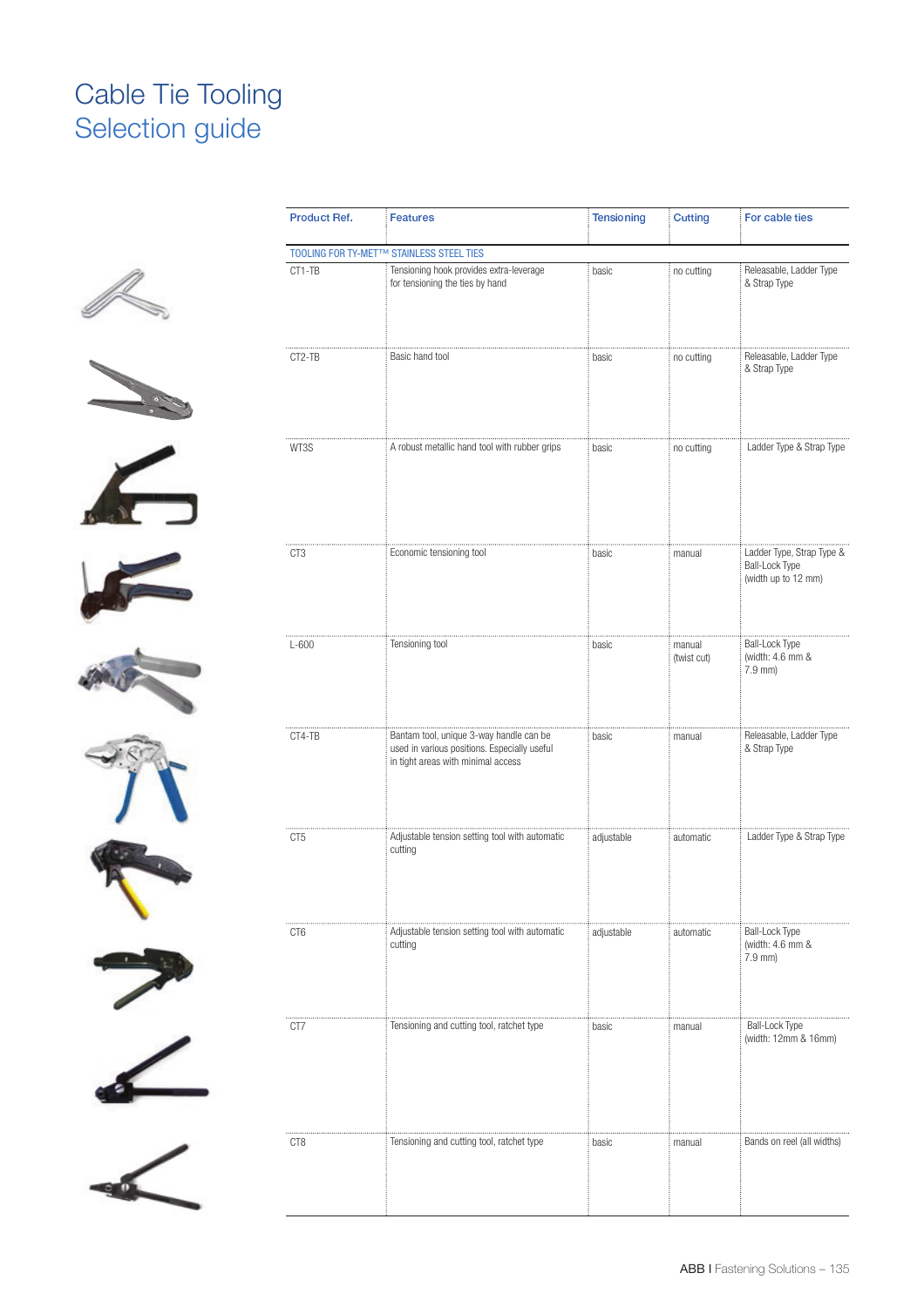# Cable Tie Tooling Selection guide





















| Product Ref. | <b>Features</b>                                                                                                               | Tensioning | <b>Cutting</b>        | For cable ties                                                     |
|--------------|-------------------------------------------------------------------------------------------------------------------------------|------------|-----------------------|--------------------------------------------------------------------|
|              | TOOLING FOR TY-MET™ STAINLESS STEEL TIES                                                                                      |            |                       |                                                                    |
| CT1-TB       | Tensioning hook provides extra-leverage<br>for tensioning the ties by hand                                                    | basic      | no cutting            | Releasable, Ladder Type<br>& Strap Type                            |
| CT2-TB       | Basic hand tool                                                                                                               | basic      | no cutting            | Releasable, Ladder Type<br>& Strap Type                            |
| WT3S         | A robust metallic hand tool with rubber grips                                                                                 | basic      | no cutting            | Ladder Type & Strap Type                                           |
| CT3          | Economic tensioning tool                                                                                                      | basic      | manual                | Ladder Type, Strap Type &<br>Ball-Lock Type<br>(width up to 12 mm) |
| $L-600$      | Tensioning tool                                                                                                               | basic      | manual<br>(twist cut) | <b>Ball-Lock Type</b><br>(width: 4.6 mm &<br>7.9 mm)               |
| CT4-TB       | Bantam tool, unique 3-way handle can be<br>used in various positions. Especially useful<br>in tight areas with minimal access | basic      | manual                | Releasable, Ladder Type<br>& Strap Type                            |
| CT5          | Adjustable tension setting tool with automatic<br>cutting                                                                     | adjustable | automatic             | Ladder Type & Strap Type                                           |
| CT6          | Adjustable tension setting tool with automatic<br>cutting                                                                     | adjustable | automatic             | <b>Ball-Lock Type</b><br>(width: 4.6 mm &<br>7.9 mm)               |
| CT7          | Tensioning and cutting tool, ratchet type                                                                                     | basic      | manual                | Ball-Lock Type<br>(width: 12mm & 16mm)                             |
| CT8          | Tensioning and cutting tool, ratchet type                                                                                     | basic      | manual                | Bands on reel (all widths)                                         |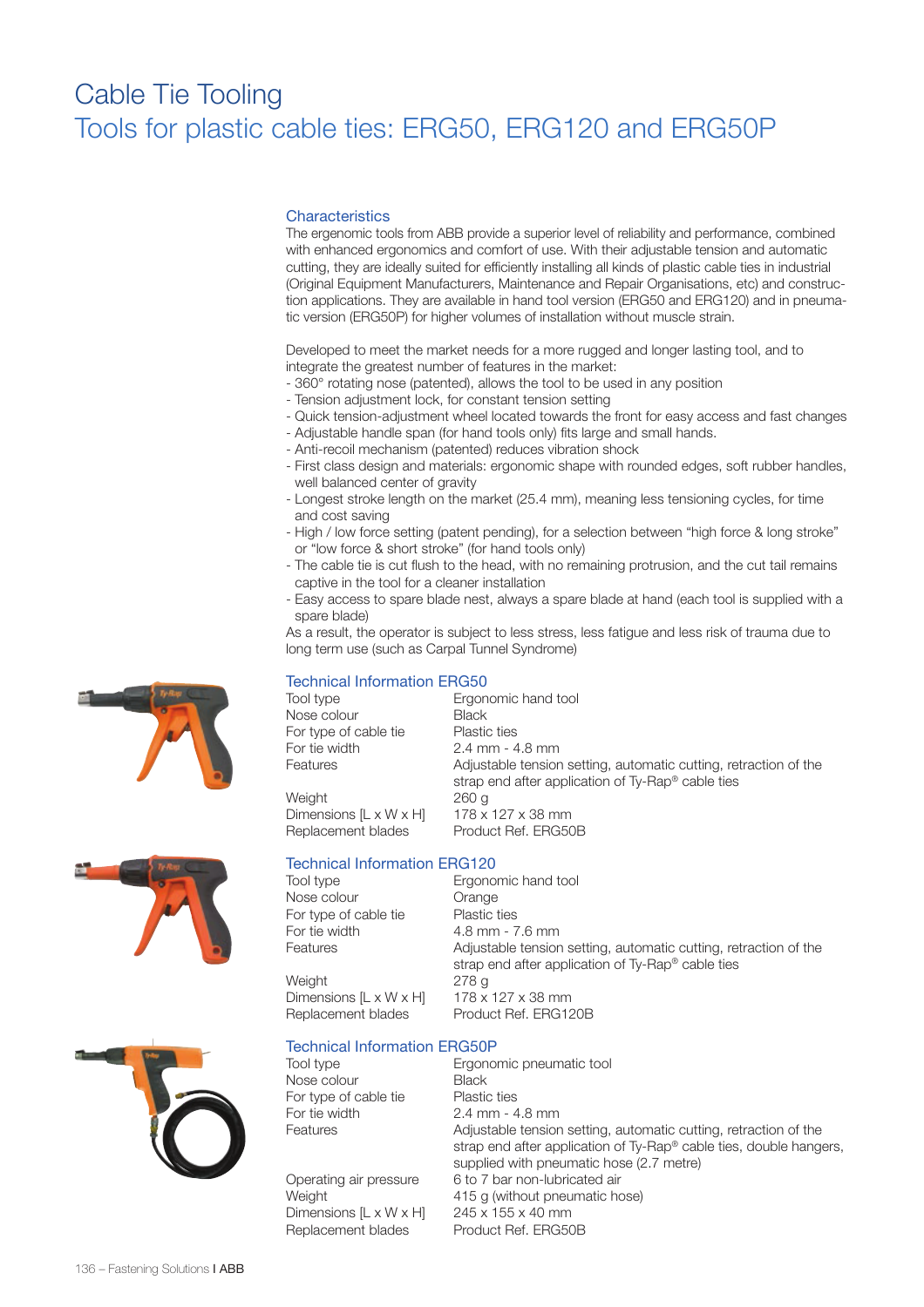# Cable Tie Tooling Tools for plastic cable ties: ERG50, ERG120 and ERG50P

#### **Characteristics**

The ergenomic tools from ABB provide a superior level of reliability and performance, combined with enhanced ergonomics and comfort of use. With their adjustable tension and automatic cutting, they are ideally suited for efficiently installing all kinds of plastic cable ties in industrial (Original Equipment Manufacturers, Maintenance and Repair Organisations, etc) and construction applications. They are available in hand tool version (ERG50 and ERG120) and in pneumatic version (ERG50P) for higher volumes of installation without muscle strain.

Developed to meet the market needs for a more rugged and longer lasting tool, and to integrate the greatest number of features in the market:

- 360° rotating nose (patented), allows the tool to be used in any position
- Tension adjustment lock, for constant tension setting
- Quick tension-adjustment wheel located towards the front for easy access and fast changes
- Adjustable handle span (for hand tools only) fits large and small hands.
- Anti-recoil mechanism (patented) reduces vibration shock
- First class design and materials: ergonomic shape with rounded edges, soft rubber handles, well balanced center of gravity
- Longest stroke length on the market (25.4 mm), meaning less tensioning cycles, for time and cost saving
- High / low force setting (patent pending), for a selection between "high force & long stroke" or "low force & short stroke" (for hand tools only)
- The cable tie is cut flush to the head, with no remaining protrusion, and the cut tail remains captive in the tool for a cleaner installation
- Easy access to spare blade nest, always a spare blade at hand (each tool is supplied with a spare blade)

As a result, the operator is subject to less stress, less fatigue and less risk of trauma due to long term use (such as Carpal Tunnel Syndrome)

## Technical Information ERG50

Tool type **Ergonomic hand tool** Nose colour Black For type of cable tie Plastic ties For tie width 2.4 mm - 4.8 mm<br>Features **Adiustable tension** Adjustable tension setting, automatic cutting, retraction of the strap end after application of Ty-Rap® cable ties Dimensions  $[L \times W \times H]$  178 x 127 x 38 mm

Weight Replacement blades Product Ref. ERG50B

# Technical Information ERG120

Tool type Ergonomic hand tool Nose colour **Orange** For type of cable tie Plastic ties For tie width  $\begin{array}{cc} 4.8 \text{ mm} - 7.6 \text{ mm} \\ \text{Features} \end{array}$ 

Adjustable tension setting, automatic cutting, retraction of the strap end after application of Ty-Rap® cable ties Weight 278 g Dimensions  $[L \times W \times H]$  178 x 127 x 38 mm Replacement blades Product Ref. ERG120B

Technical Information ERG50P

Tool type Ergonomic pneumatic tool Nose colour Black For type of cable tie Plastic ties For tie width 2.4 mm - 4.8 mm

Dimensions [L x W x H] 245 x 155 x 40 mm<br>Replacement blades Product Ref. ERG50B Replacement blades

Features **Adjustable tension setting, automatic cutting, retraction of the**  strap end after application of Ty-Rap® cable ties, double hangers, supplied with pneumatic hose (2.7 metre) Operating air pressure 6 to 7 bar non-lubricated air Weight 415 g (without pneumatic hose)





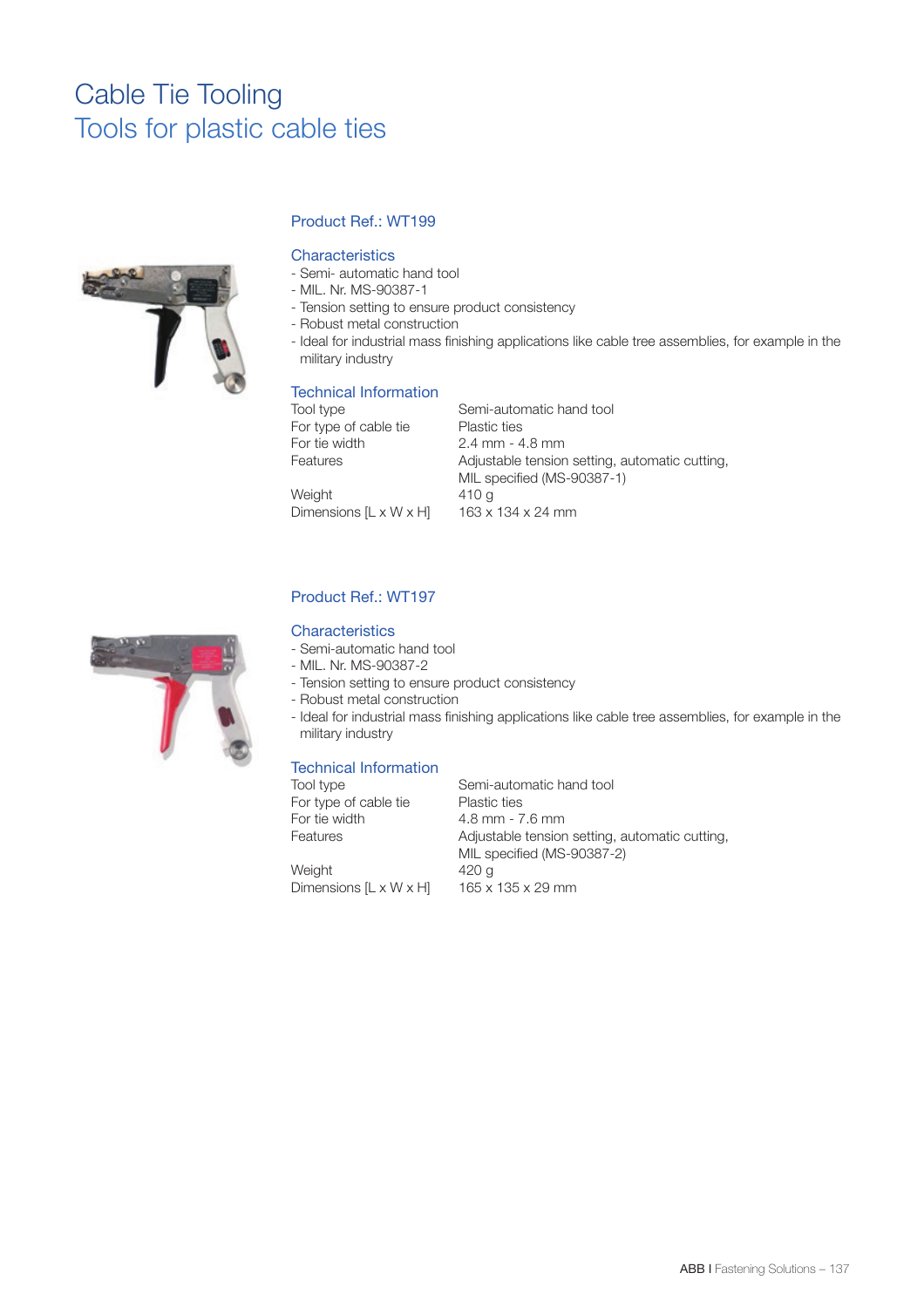# Cable Tie Tooling Tools for plastic cable ties



# Product Ref.: WT199

### **Characteristics**

- Semi- automatic hand tool
- MIL. Nr. MS-90387-1
- Tension setting to ensure product consistency
- Robust metal construction
- Ideal for industrial mass finishing applications like cable tree assemblies, for example in the military industry

### Technical Information

| Tool type                            |
|--------------------------------------|
| For type of cable                    |
| For tie width                        |
| Features                             |
|                                      |
| $\Lambda$ / $\sim$ ; $\sim$ $\sim$ + |

Semi-automatic hand tool tie Plastic ties 2.4 mm - 4.8 mm Adjustable tension setting, automatic cutting, MIL specified (MS-90387-1) Weight 410 g<br>Dimensions [L x W x H] 163 x 134 x 24 mm



# Product Ref.: WT197

Dimensions  $[L \times W \times H]$ 

#### **Characteristics**

- Semi-automatic hand tool
- MIL. Nr. MS-90387-2
- Tension setting to ensure product consistency
- Robust metal construction
- Ideal for industrial mass finishing applications like cable tree assemblies, for example in the military industry

#### Technical Information

| Tool type                          | Semi-automatic hand tool                       |
|------------------------------------|------------------------------------------------|
| For type of cable tie              | <b>Plastic ties</b>                            |
| For tie width                      | $4.8$ mm - $7.6$ mm                            |
| Features                           | Adjustable tension setting, automatic cutting, |
|                                    | MIL specified (MS-90387-2)                     |
| Weight                             | 420 a                                          |
| Dimensions $[L \times W \times H]$ | 165 x 135 x 29 mm                              |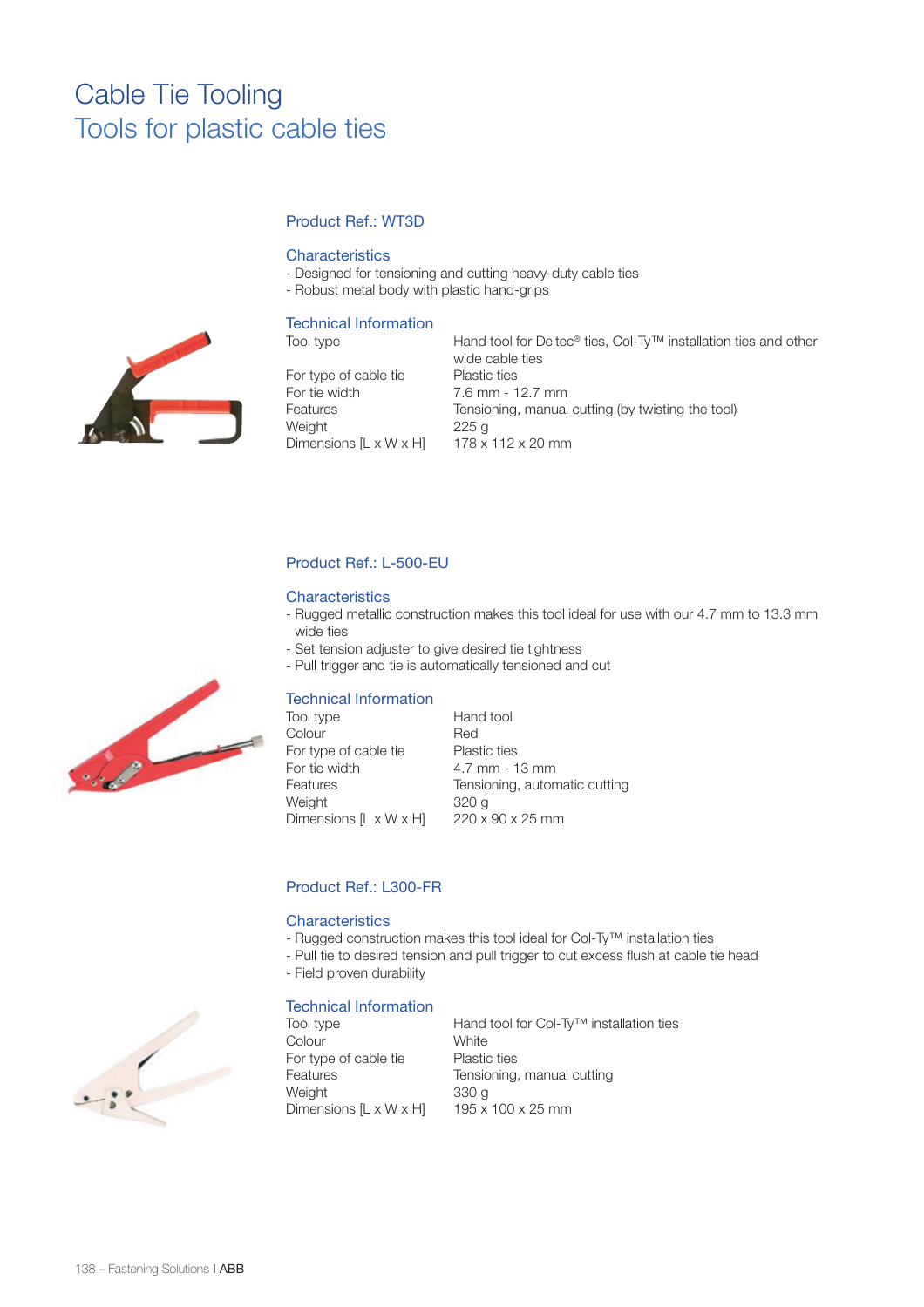# Cable Tie Tooling Tools for plastic cable ties

# Product Ref.: WT3D

### **Characteristics**

- Designed for tensioning and cutting heavy-duty cable ties
- Robust metal body with plastic hand-grips

## Technical Information

For type of cable tie Plastic ties For tie width 7.6 mm - 12.7 mm Weight 225 g Dimensions  $[L \times W \times H]$  178 x 112 x 20 mm

Tool type Hand tool for Deltec® ties, Col-Ty™ installation ties and other wide cable ties Features Tensioning, manual cutting (by twisting the tool)

# Product Ref.: L-500-EU

### **Characteristics**

- Rugged metallic construction makes this tool ideal for use with our 4.7 mm to 13.3 mm wide ties
- Set tension adjuster to give desired tie tightness
- Pull trigger and tie is automatically tensioned and cut

#### Technical Information

| Tool type              | Hand tool                     |
|------------------------|-------------------------------|
| Colour                 | Red                           |
| For type of cable tie  | <b>Plastic ties</b>           |
| For tie width          | $4.7$ mm - 13 mm              |
| Features               | Tensioning, automatic cutting |
| Weight                 | 320 g                         |
| Dimensions [L x W x H] | $220 \times 90 \times 25$ mm  |

## Product Ref.: L300-FR

#### **Characteristics**

- Rugged construction makes this tool ideal for Col-Ty™ installation ties
- Pull tie to desired tension and pull trigger to cut excess flush at cable tie head
- Field proven durability

#### Technical Information

Colour White For type of cable tie Plastic ties Weight  $330 g$ <br>Dimensions [L x W x H]  $195 x 100 x 25 mm$ Dimensions  $[L \times W \times H]$ 

Tool type Hand tool for Col-Ty™ installation ties Features Tensioning, manual cutting





138 – Fastening Solutions **I ABB**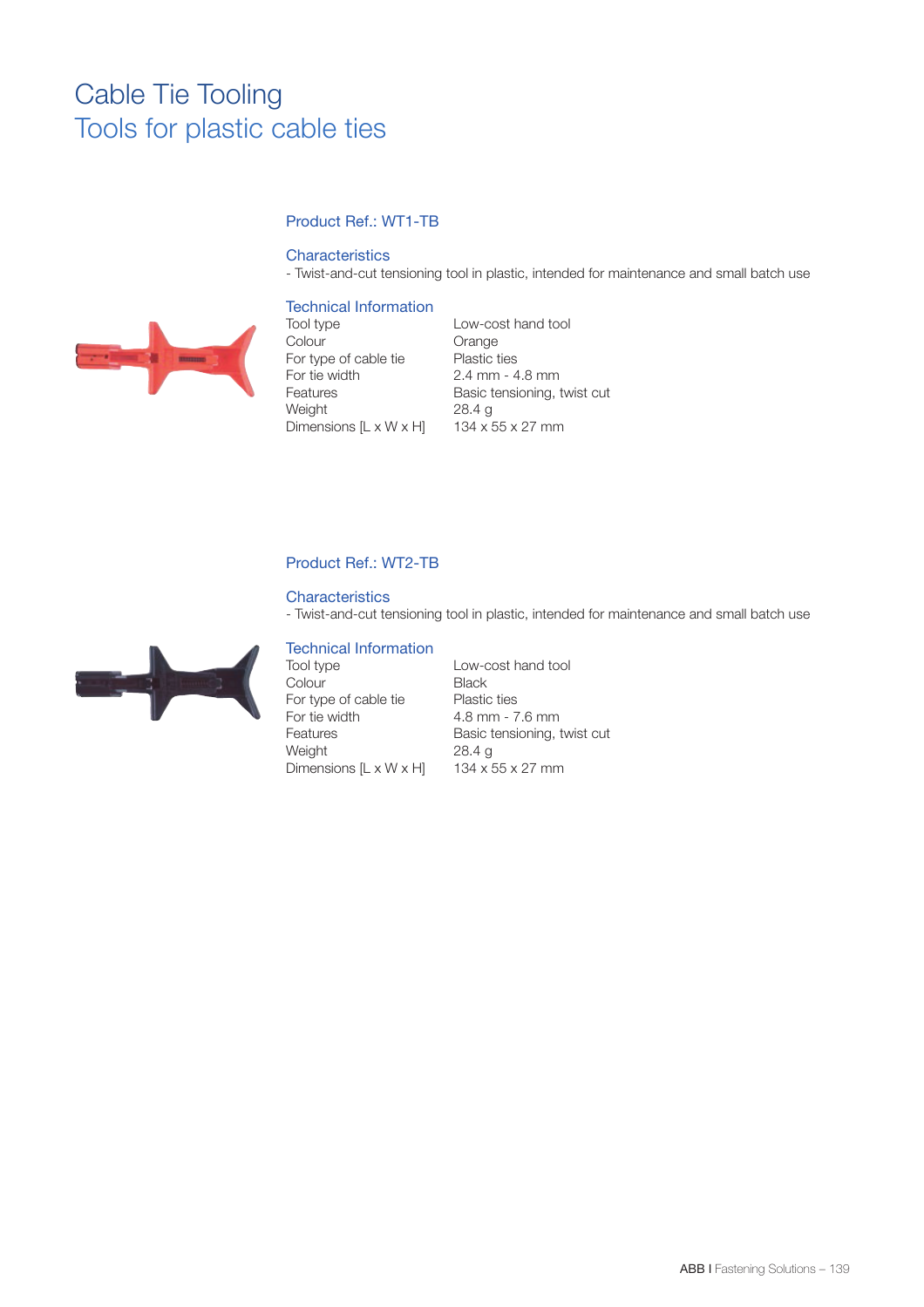# Cable Tie Tooling Tools for plastic cable ties

# Product Ref.: WT1-TB

### **Characteristics**

- Twist-and-cut tensioning tool in plastic, intended for maintenance and small batch use

## Technical Information



Tool type Low-cost hand tool Colour Orange<br>
For type of cable tie Plastic ties For type of cable tie For tie width 2.4 mm - 4.8 mm Weight 28.4 g<br>Dimensions [L x W x H] 134 x 55 x 27 mm Dimensions  $[L \times W \times H]$ 

Features Basic tensioning, twist cut

# Product Ref.: WT2-TB

#### **Characteristics**

- Twist-and-cut tensioning tool in plastic, intended for maintenance and small batch use



# Technical Information

Tool type Low-cost hand tool Colour Black For type of cable tie Plastic ties<br>For tie width 4.8 mm - 7 Features Basic tensioning, twist cut<br>
Weight 28.4 g Dimensions  $[L \times W \times H]$ 

4.8 mm - 7.6 mm 28.4 g<br>134 x 55 x 27 mm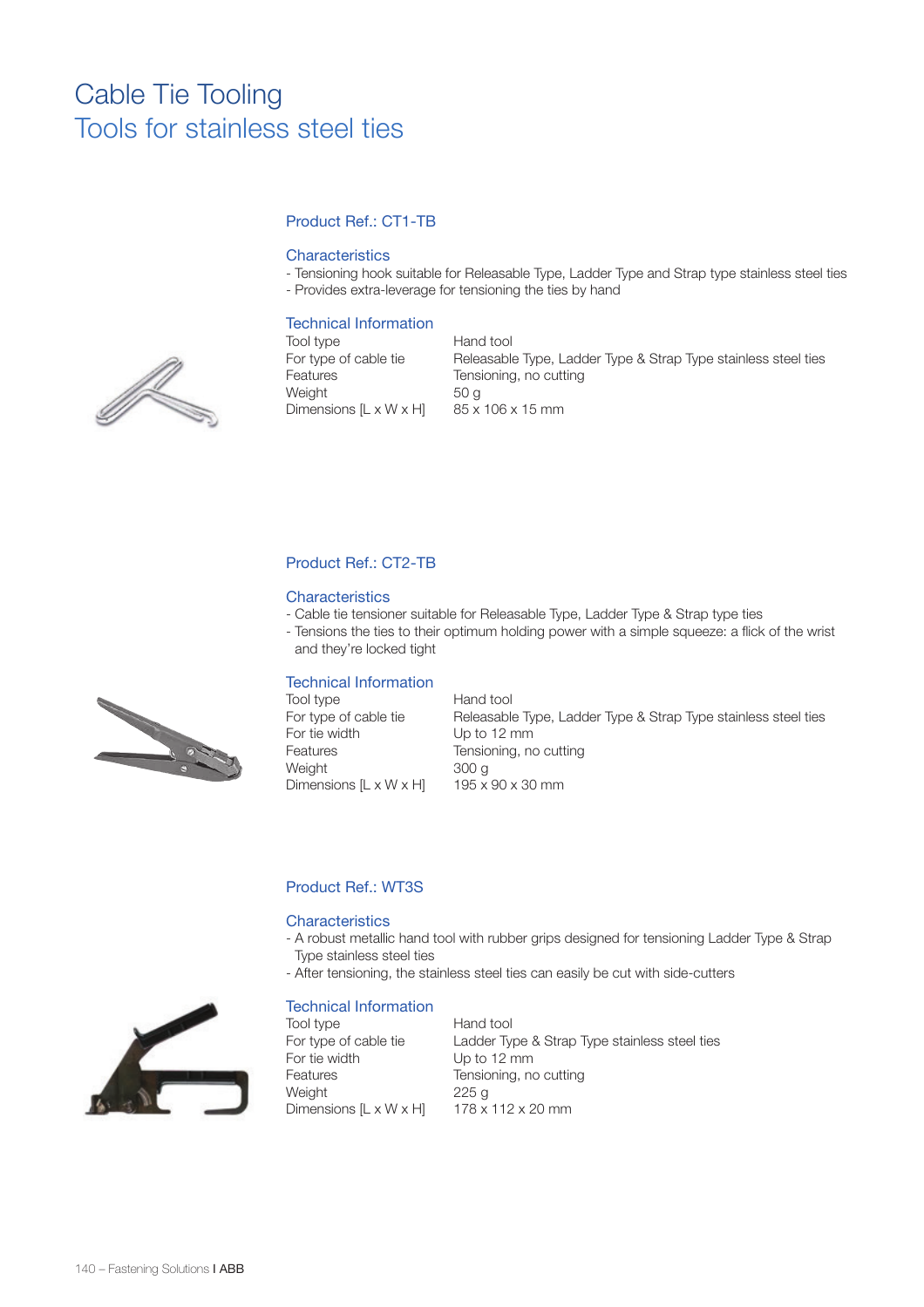# Product Ref.: CT1-TB

### **Characteristics**

- Tensioning hook suitable for Releasable Type, Ladder Type and Strap type stainless steel ties
- Provides extra-leverage for tensioning the ties by hand

## Technical Information

Tool type **Hand tool** Dimensions  $[L \times W \times H]$ 

For type of cable tie Releasable Type, Ladder Type & Strap Type stainless steel ties Features Tensioning, no cutting Weight  $50 g$ <br>Dimensions [L x W x H]  $85 x 106 x 15 mm$ 

## Product Ref.: CT2-TB

#### **Characteristics**

- Cable tie tensioner suitable for Releasable Type, Ladder Type & Strap type ties
- Tensions the ties to their optimum holding power with a simple squeeze: a flick of the wrist and they're locked tight

#### Technical Information

| Tool type                          | Hand tool                                                      |
|------------------------------------|----------------------------------------------------------------|
| For type of cable tie              | Releasable Type, Ladder Type & Strap Type stainless steel ties |
| For tie width                      | Up to 12 mm                                                    |
| Features                           | Tensioning, no cutting                                         |
| Weight                             | 300 a                                                          |
| Dimensions $[L \times W \times H]$ | $195 \times 90 \times 30$ mm                                   |

# Product Ref.: WT3S

#### **Characteristics**

- A robust metallic hand tool with rubber grips designed for tensioning Ladder Type & Strap Type stainless steel ties
- After tensioning, the stainless steel ties can easily be cut with side-cutters

#### Technical Information

Tool type **Hand tool** For tie width Up to 12 mm Weight 225 g Dimensions  $[L \times W \times H]$  178  $\times$  112 x 20 mm

For type of cable tie Ladder Type & Strap Type stainless steel ties Features Tensioning, no cutting



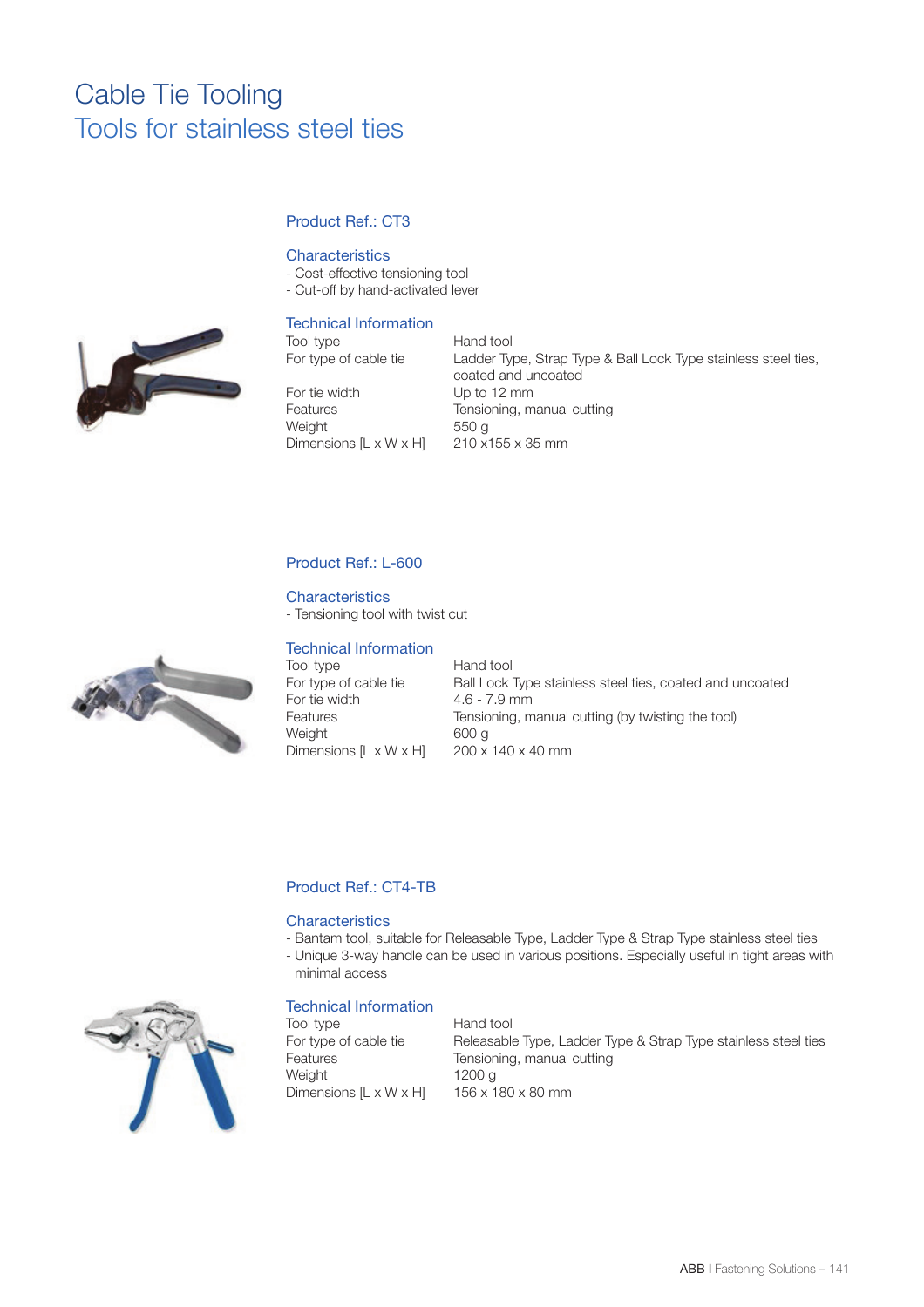# Product Ref.: CT3

## **Characteristics**

- Cost-effective tensioning tool
- Cut-off by hand-activated lever

# Technical Information

Tool type Hand tool<br>For type of cable tie Ladder Ty

For tie width Up to 12 mm Weight 550 g Dimensions  $[L \times W \times H]$  210 x155 x 35 mm

Ladder Type, Strap Type & Ball Lock Type stainless steel ties, coated and uncoated Features Tensioning, manual cutting

# Product Ref.: L-600

#### **Characteristics**

- Tensioning tool with twist cut

#### Technical Information

Tool type **Hand tool** For tie width 4.6 - 7.9 mm<br>Features Fensioning, m Dimensions  $[L \times W \times H]$ 

For type of cable tie Ball Lock Type stainless steel ties, coated and uncoated Tensioning, manual cutting (by twisting the tool) Weight 600 g<br>Dimensions  $IL \times W \times HI = 200 \times 140 \times 40$  mm

## Product Ref.: CT4-TB

### **Characteristics**

- Bantam tool, suitable for Releasable Type, Ladder Type & Strap Type stainless steel ties
- Unique 3-way handle can be used in various positions. Especially useful in tight areas with minimal access

## Technical Information

Tool type **Hand tool** Weight 1200 g Dimensions  $[L \times W \times H]$  156 x 180 x 80 mm

For type of cable tie Releasable Type, Ladder Type & Strap Type stainless steel ties Features Tensioning, manual cutting





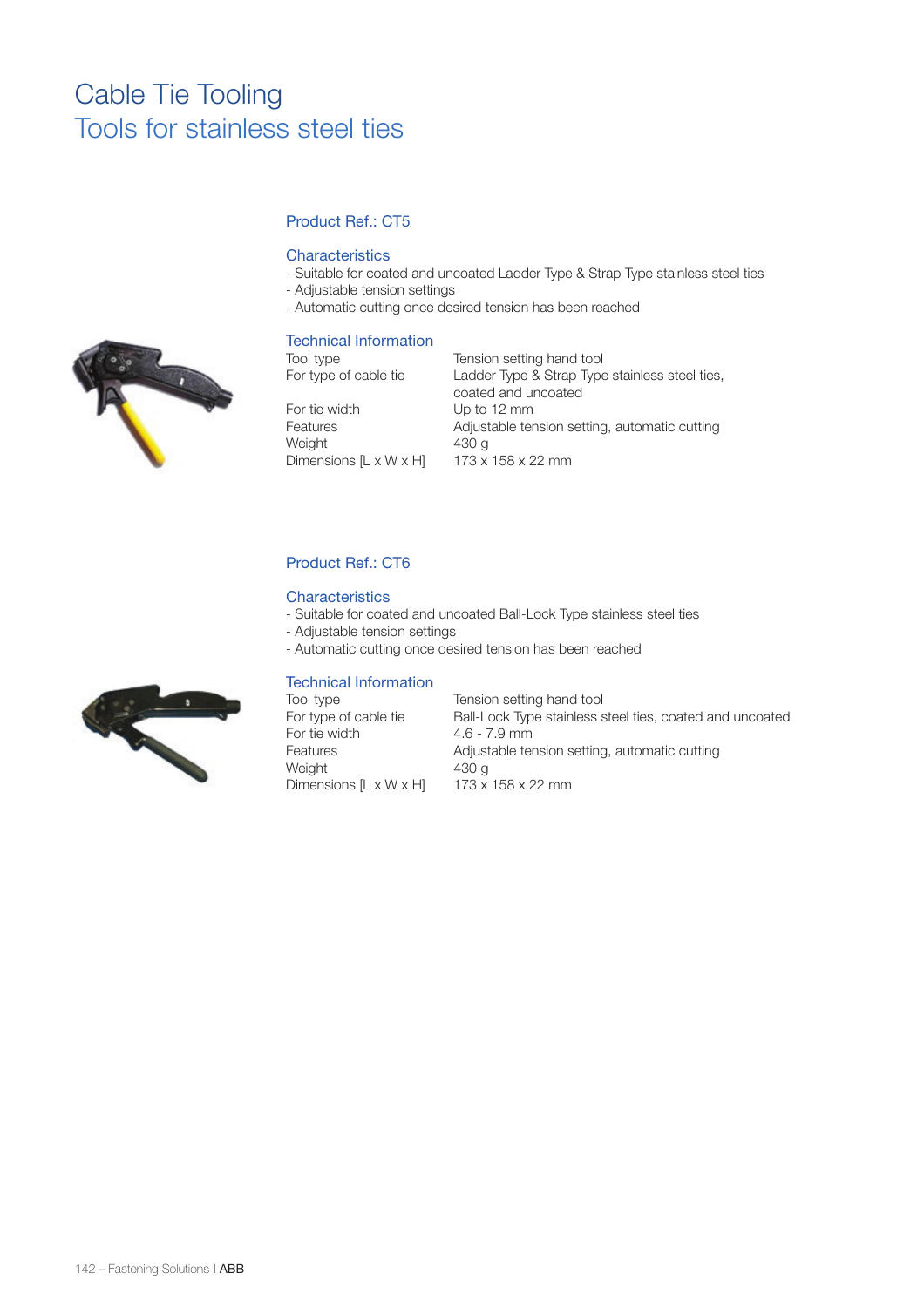# Product Ref.: CT5

### **Characteristics**

- Suitable for coated and uncoated Ladder Type & Strap Type stainless steel ties
- Adjustable tension settings
- Automatic cutting once desired tension has been reached

#### Technical Information

Dimensions  $[L \times W \times H]$ 

Tool type Tension setting hand tool For type of cable tie Ladder Type & Strap Type stainless steel ties, coated and uncoated For tie width Up to 12 mm Features **Adjustable tension setting, automatic cutting** Weight  $430 g$ <br>Dimensions [L x W x H]  $173 x 158 x 22 mm$ 

# Product Ref.: CT6

#### **Characteristics**

- Suitable for coated and uncoated Ball-Lock Type stainless steel ties
- Adjustable tension settings
- Automatic cutting once desired tension has been reached

## Technical Information

| Tool type<br>Tension setting hand tool                                            |  |
|-----------------------------------------------------------------------------------|--|
| For type of cable tie<br>Ball-Lock Type stainless steel ties, coated and uncoated |  |
| For tie width<br>$4.6 - 7.9$ mm                                                   |  |
| Adjustable tension setting, automatic cutting<br>Features                         |  |
| Weight<br>430 a                                                                   |  |
| Dimensions [L x W x H]<br>$173 \times 158 \times 22$ mm                           |  |